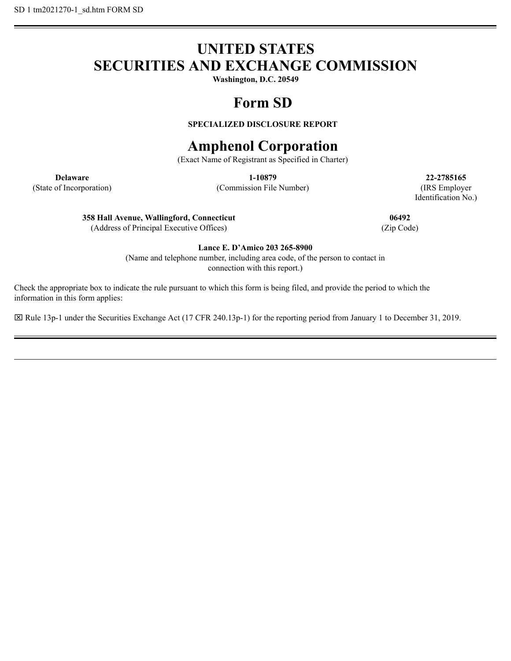# **UNITED STATES SECURITIES AND EXCHANGE COMMISSION**

**Washington, D.C. 20549**

# **Form SD**

# **SPECIALIZED DISCLOSURE REPORT**

# **Amphenol Corporation**

(Exact Name of Registrant as Specified in Charter)

(State of Incorporation) (Commission File Number) (IRS Employer

**Delaware 1-10879 22-2785165** Identification No.)

**358 Hall Avenue, Wallingford, Connecticut 06492**

(Address of Principal Executive Offices) (Zip Code)

**Lance E. D'Amico 203 265-8900**

(Name and telephone number, including area code, of the person to contact in connection with this report.)

Check the appropriate box to indicate the rule pursuant to which this form is being filed, and provide the period to which the information in this form applies:

Rule 13p-1 under the Securities Exchange Act (17 CFR 240.13p-1) for the reporting period from January 1 to December 31, 2019.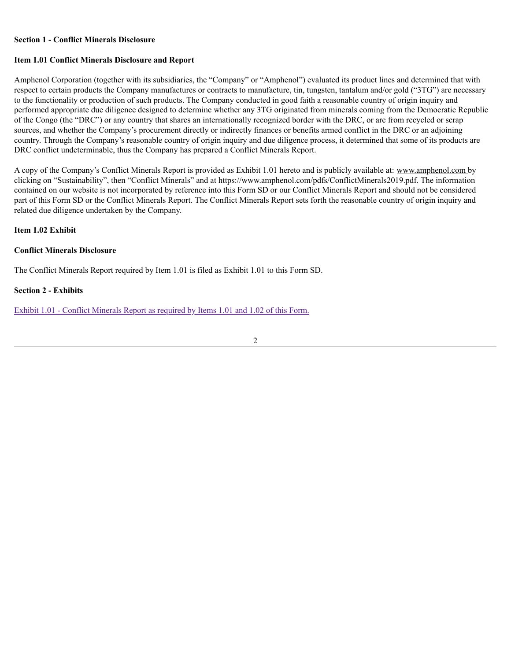#### **Section 1 - Conflict Minerals Disclosure**

## **Item 1.01 Conflict Minerals Disclosure and Report**

Amphenol Corporation (together with its subsidiaries, the "Company" or "Amphenol") evaluated its product lines and determined that with respect to certain products the Company manufactures or contracts to manufacture, tin, tungsten, tantalum and/or gold ("3TG") are necessary to the functionality or production of such products. The Company conducted in good faith a reasonable country of origin inquiry and performed appropriate due diligence designed to determine whether any 3TG originated from minerals coming from the Democratic Republic of the Congo (the "DRC") or any country that shares an internationally recognized border with the DRC, or are from recycled or scrap sources, and whether the Company's procurement directly or indirectly finances or benefits armed conflict in the DRC or an adjoining country. Through the Company's reasonable country of origin inquiry and due diligence process, it determined that some of its products are DRC conflict undeterminable, thus the Company has prepared a Conflict Minerals Report.

A copy of the Company's Conflict Minerals Report is provided as Exhibit 1.01 hereto and is publicly available at: www.amphenol.com by clicking on "Sustainability", then "Conflict Minerals" and at https://www.amphenol.com/pdfs/ConflictMinerals2019.pdf. The information contained on our website is not incorporated by reference into this Form SD or our Conflict Minerals Report and should not be considered part of this Form SD or the Conflict Minerals Report. The Conflict Minerals Report sets forth the reasonable country of origin inquiry and related due diligence undertaken by the Company.

### **Item 1.02 Exhibit**

## **Conflict Minerals Disclosure**

The Conflict Minerals Report required by Item 1.01 is filed as Exhibit 1.01 to this Form SD.

#### **Section 2 - Exhibits**

Exhibit 1.01 - Conflict [Minerals](https://www.sec.gov/Archives/edgar/data/820313/000110465920067934/tm2021270d1_ex1-01.htm) Report as required by Items 1.01 and 1.02 of this Form.

2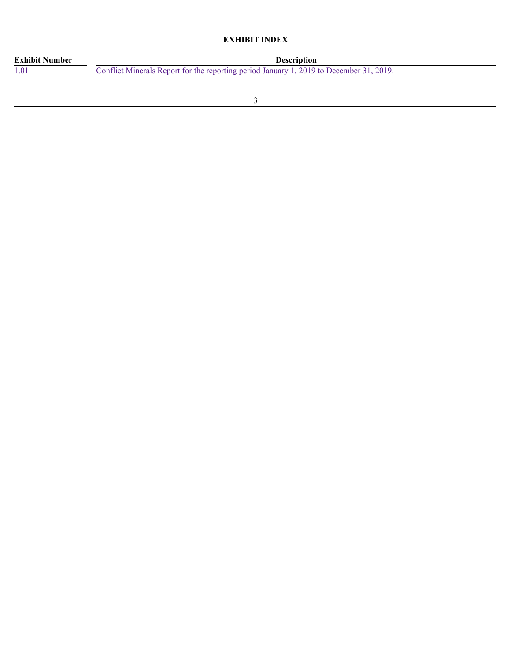# **EXHIBIT INDEX**

| <b>Exhibit Number</b> | <b>Description</b>                                                                      |
|-----------------------|-----------------------------------------------------------------------------------------|
| <u>1.01</u>           | Conflict Minerals Report for the reporting period January 1, 2019 to December 31, 2019. |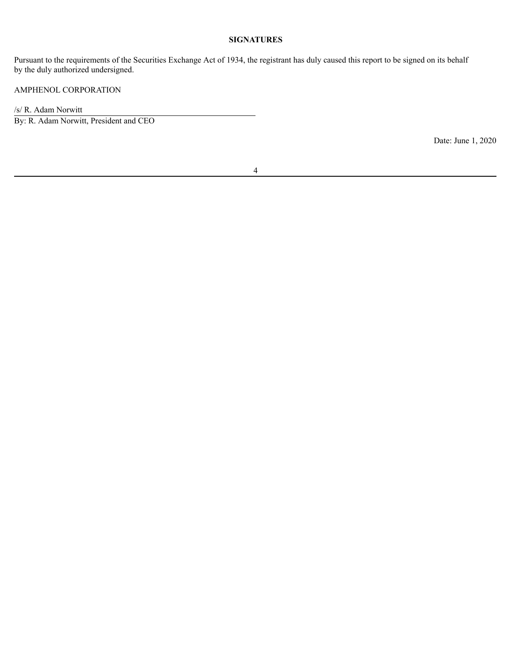#### **SIGNATURES**

Pursuant to the requirements of the Securities Exchange Act of 1934, the registrant has duly caused this report to be signed on its behalf by the duly authorized undersigned.

# AMPHENOL CORPORATION

/s/ R. Adam Norwitt

By: R. Adam Norwitt, President and CEO

Date: June 1, 2020

4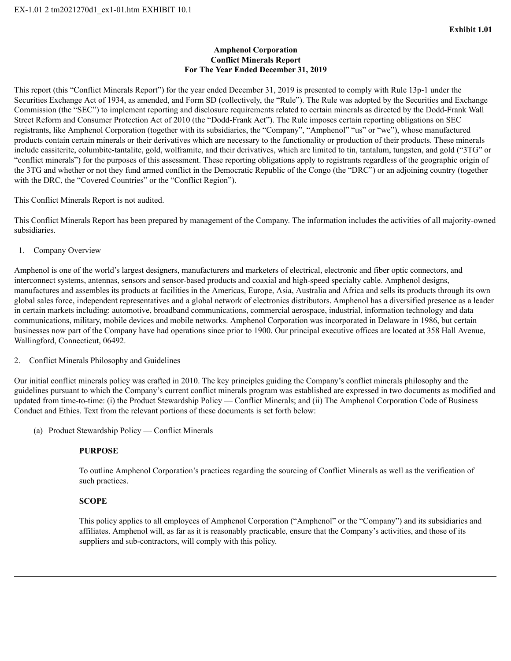## **Amphenol Corporation Conflict Minerals Report For The Year Ended December 31, 2019**

This report (this "Conflict Minerals Report") for the year ended December 31, 2019 is presented to comply with Rule 13p-1 under the Securities Exchange Act of 1934, as amended, and Form SD (collectively, the "Rule"). The Rule was adopted by the Securities and Exchange Commission (the "SEC") to implement reporting and disclosure requirements related to certain minerals as directed by the Dodd-Frank Wall Street Reform and Consumer Protection Act of 2010 (the "Dodd-Frank Act"). The Rule imposes certain reporting obligations on SEC registrants, like Amphenol Corporation (together with its subsidiaries, the "Company", "Amphenol" "us" or "we"), whose manufactured products contain certain minerals or their derivatives which are necessary to the functionality or production of their products. These minerals include cassiterite, columbite-tantalite, gold, wolframite, and their derivatives, which are limited to tin, tantalum, tungsten, and gold ("3TG" or "conflict minerals") for the purposes of this assessment. These reporting obligations apply to registrants regardless of the geographic origin of the 3TG and whether or not they fund armed conflict in the Democratic Republic of the Congo (the "DRC") or an adjoining country (together with the DRC, the "Covered Countries" or the "Conflict Region").

This Conflict Minerals Report is not audited.

This Conflict Minerals Report has been prepared by management of the Company. The information includes the activities of all majority-owned subsidiaries.

1. Company Overview

Amphenol is one of the world's largest designers, manufacturers and marketers of electrical, electronic and fiber optic connectors, and interconnect systems, antennas, sensors and sensor-based products and coaxial and high-speed specialty cable. Amphenol designs, manufactures and assembles its products at facilities in the Americas, Europe, Asia, Australia and Africa and sells its products through its own global sales force, independent representatives and a global network of electronics distributors. Amphenol has a diversified presence as a leader in certain markets including: automotive, broadband communications, commercial aerospace, industrial, information technology and data communications, military, mobile devices and mobile networks. Amphenol Corporation was incorporated in Delaware in 1986, but certain businesses now part of the Company have had operations since prior to 1900. Our principal executive offices are located at 358 Hall Avenue, Wallingford, Connecticut, 06492.

2. Conflict Minerals Philosophy and Guidelines

Our initial conflict minerals policy was crafted in 2010. The key principles guiding the Company's conflict minerals philosophy and the guidelines pursuant to which the Company's current conflict minerals program was established are expressed in two documents as modified and updated from time-to-time: (i) the Product Stewardship Policy — Conflict Minerals; and (ii) The Amphenol Corporation Code of Business Conduct and Ethics. Text from the relevant portions of these documents is set forth below:

(a) Product Stewardship Policy — Conflict Minerals

## **PURPOSE**

To outline Amphenol Corporation's practices regarding the sourcing of Conflict Minerals as well as the verification of such practices.

#### **SCOPE**

This policy applies to all employees of Amphenol Corporation ("Amphenol" or the "Company") and its subsidiaries and affiliates. Amphenol will, as far as it is reasonably practicable, ensure that the Company's activities, and those of its suppliers and sub-contractors, will comply with this policy.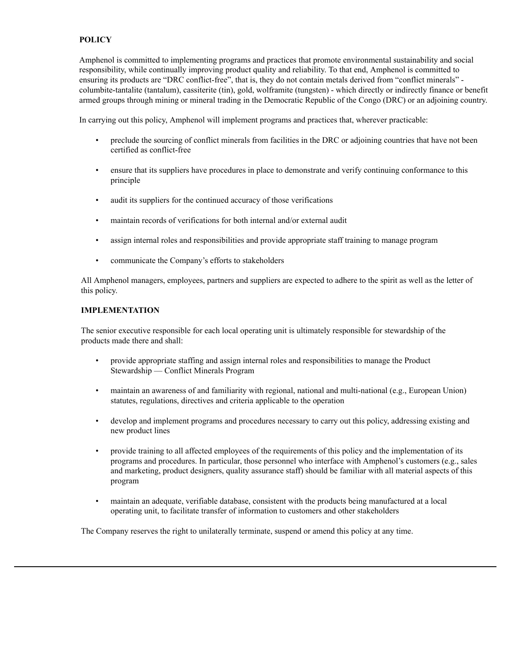# **POLICY**

Amphenol is committed to implementing programs and practices that promote environmental sustainability and social responsibility, while continually improving product quality and reliability. To that end, Amphenol is committed to ensuring its products are "DRC conflict-free", that is, they do not contain metals derived from "conflict minerals" columbite-tantalite (tantalum), cassiterite (tin), gold, wolframite (tungsten) - which directly or indirectly finance or benefit armed groups through mining or mineral trading in the Democratic Republic of the Congo (DRC) or an adjoining country.

In carrying out this policy, Amphenol will implement programs and practices that, wherever practicable:

- preclude the sourcing of conflict minerals from facilities in the DRC or adjoining countries that have not been certified as conflict-free
- ensure that its suppliers have procedures in place to demonstrate and verify continuing conformance to this principle
- audit its suppliers for the continued accuracy of those verifications
- maintain records of verifications for both internal and/or external audit
- assign internal roles and responsibilities and provide appropriate staff training to manage program
- communicate the Company's efforts to stakeholders

All Amphenol managers, employees, partners and suppliers are expected to adhere to the spirit as well as the letter of this policy.

### **IMPLEMENTATION**

The senior executive responsible for each local operating unit is ultimately responsible for stewardship of the products made there and shall:

- provide appropriate staffing and assign internal roles and responsibilities to manage the Product Stewardship — Conflict Minerals Program
- maintain an awareness of and familiarity with regional, national and multi-national (e.g., European Union) statutes, regulations, directives and criteria applicable to the operation
- develop and implement programs and procedures necessary to carry out this policy, addressing existing and new product lines
- provide training to all affected employees of the requirements of this policy and the implementation of its programs and procedures. In particular, those personnel who interface with Amphenol's customers (e.g., sales and marketing, product designers, quality assurance staff) should be familiar with all material aspects of this program
- maintain an adequate, verifiable database, consistent with the products being manufactured at a local operating unit, to facilitate transfer of information to customers and other stakeholders

The Company reserves the right to unilaterally terminate, suspend or amend this policy at any time.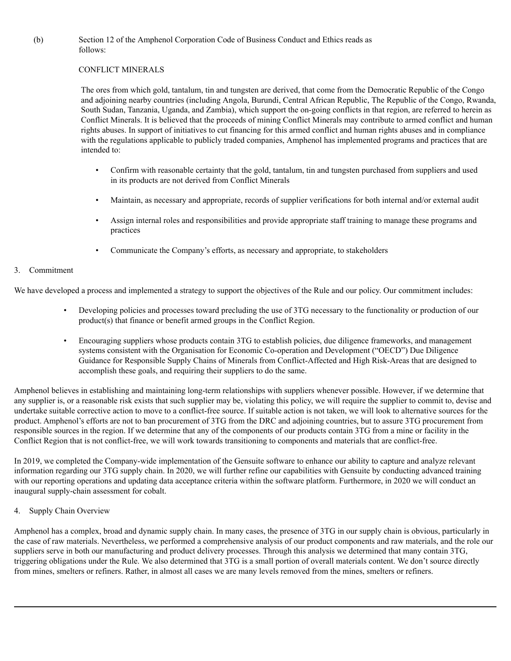(b) Section 12 of the Amphenol Corporation Code of Business Conduct and Ethics reads as follows:

## CONFLICT MINERALS

The ores from which gold, tantalum, tin and tungsten are derived, that come from the Democratic Republic of the Congo and adjoining nearby countries (including Angola, Burundi, Central African Republic, The Republic of the Congo, Rwanda, South Sudan, Tanzania, Uganda, and Zambia), which support the on-going conflicts in that region, are referred to herein as Conflict Minerals. It is believed that the proceeds of mining Conflict Minerals may contribute to armed conflict and human rights abuses. In support of initiatives to cut financing for this armed conflict and human rights abuses and in compliance with the regulations applicable to publicly traded companies, Amphenol has implemented programs and practices that are intended to:

- Confirm with reasonable certainty that the gold, tantalum, tin and tungsten purchased from suppliers and used in its products are not derived from Conflict Minerals
- Maintain, as necessary and appropriate, records of supplier verifications for both internal and/or external audit
- Assign internal roles and responsibilities and provide appropriate staff training to manage these programs and practices
- Communicate the Company's efforts, as necessary and appropriate, to stakeholders

## 3. Commitment

We have developed a process and implemented a strategy to support the objectives of the Rule and our policy. Our commitment includes:

- Developing policies and processes toward precluding the use of 3TG necessary to the functionality or production of our product(s) that finance or benefit armed groups in the Conflict Region.
- Encouraging suppliers whose products contain 3TG to establish policies, due diligence frameworks, and management systems consistent with the Organisation for Economic Co-operation and Development ("OECD") Due Diligence Guidance for Responsible Supply Chains of Minerals from Conflict-Affected and High Risk-Areas that are designed to accomplish these goals, and requiring their suppliers to do the same.

Amphenol believes in establishing and maintaining long-term relationships with suppliers whenever possible. However, if we determine that any supplier is, or a reasonable risk exists that such supplier may be, violating this policy, we will require the supplier to commit to, devise and undertake suitable corrective action to move to a conflict-free source. If suitable action is not taken, we will look to alternative sources for the product. Amphenol's efforts are not to ban procurement of 3TG from the DRC and adjoining countries, but to assure 3TG procurement from responsible sources in the region. If we determine that any of the components of our products contain 3TG from a mine or facility in the Conflict Region that is not conflict-free, we will work towards transitioning to components and materials that are conflict-free.

In 2019, we completed the Company-wide implementation of the Gensuite software to enhance our ability to capture and analyze relevant information regarding our 3TG supply chain. In 2020, we will further refine our capabilities with Gensuite by conducting advanced training with our reporting operations and updating data acceptance criteria within the software platform. Furthermore, in 2020 we will conduct an inaugural supply-chain assessment for cobalt.

## 4. Supply Chain Overview

Amphenol has a complex, broad and dynamic supply chain. In many cases, the presence of 3TG in our supply chain is obvious, particularly in the case of raw materials. Nevertheless, we performed a comprehensive analysis of our product components and raw materials, and the role our suppliers serve in both our manufacturing and product delivery processes. Through this analysis we determined that many contain 3TG, triggering obligations under the Rule. We also determined that 3TG is a small portion of overall materials content. We don't source directly from mines, smelters or refiners. Rather, in almost all cases we are many levels removed from the mines, smelters or refiners.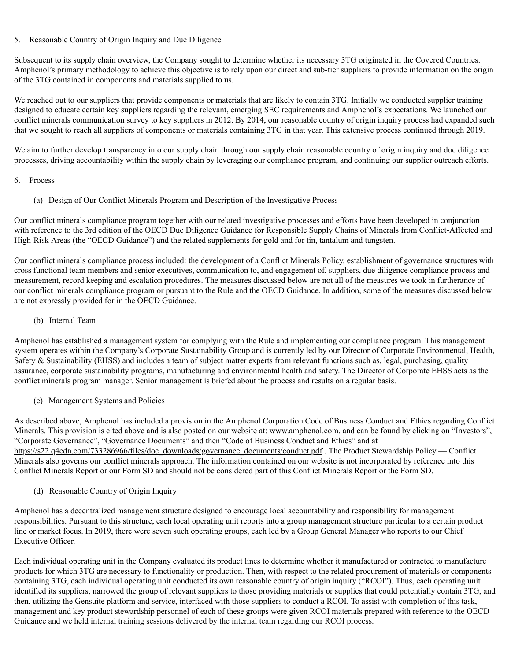# 5. Reasonable Country of Origin Inquiry and Due Diligence

Subsequent to its supply chain overview, the Company sought to determine whether its necessary 3TG originated in the Covered Countries. Amphenol's primary methodology to achieve this objective is to rely upon our direct and sub-tier suppliers to provide information on the origin of the 3TG contained in components and materials supplied to us.

We reached out to our suppliers that provide components or materials that are likely to contain 3TG. Initially we conducted supplier training designed to educate certain key suppliers regarding the relevant, emerging SEC requirements and Amphenol's expectations. We launched our conflict minerals communication survey to key suppliers in 2012. By 2014, our reasonable country of origin inquiry process had expanded such that we sought to reach all suppliers of components or materials containing 3TG in that year. This extensive process continued through 2019.

We aim to further develop transparency into our supply chain through our supply chain reasonable country of origin inquiry and due diligence processes, driving accountability within the supply chain by leveraging our compliance program, and continuing our supplier outreach efforts.

## 6. Process

(a) Design of Our Conflict Minerals Program and Description of the Investigative Process

Our conflict minerals compliance program together with our related investigative processes and efforts have been developed in conjunction with reference to the 3rd edition of the OECD Due Diligence Guidance for Responsible Supply Chains of Minerals from Conflict-Affected and High-Risk Areas (the "OECD Guidance") and the related supplements for gold and for tin, tantalum and tungsten.

Our conflict minerals compliance process included: the development of a Conflict Minerals Policy, establishment of governance structures with cross functional team members and senior executives, communication to, and engagement of, suppliers, due diligence compliance process and measurement, record keeping and escalation procedures. The measures discussed below are not all of the measures we took in furtherance of our conflict minerals compliance program or pursuant to the Rule and the OECD Guidance. In addition, some of the measures discussed below are not expressly provided for in the OECD Guidance.

(b) Internal Team

Amphenol has established a management system for complying with the Rule and implementing our compliance program. This management system operates within the Company's Corporate Sustainability Group and is currently led by our Director of Corporate Environmental, Health, Safety & Sustainability (EHSS) and includes a team of subject matter experts from relevant functions such as, legal, purchasing, quality assurance, corporate sustainability programs, manufacturing and environmental health and safety. The Director of Corporate EHSS acts as the conflict minerals program manager. Senior management is briefed about the process and results on a regular basis.

(c) Management Systems and Policies

As described above, Amphenol has included a provision in the Amphenol Corporation Code of Business Conduct and Ethics regarding Conflict Minerals. This provision is cited above and is also posted on our website at: www.amphenol.com, and can be found by clicking on "Investors", "Corporate Governance", "Governance Documents" and then "Code of Business Conduct and Ethics" and at https://s22.q4cdn.com/733286966/files/doc\_downloads/governance\_documents/conduct.pdf . The Product Stewardship Policy — Conflict Minerals also governs our conflict minerals approach. The information contained on our website is not incorporated by reference into this Conflict Minerals Report or our Form SD and should not be considered part of this Conflict Minerals Report or the Form SD.

(d) Reasonable Country of Origin Inquiry

Amphenol has a decentralized management structure designed to encourage local accountability and responsibility for management responsibilities. Pursuant to this structure, each local operating unit reports into a group management structure particular to a certain product line or market focus. In 2019, there were seven such operating groups, each led by a Group General Manager who reports to our Chief Executive Officer.

Each individual operating unit in the Company evaluated its product lines to determine whether it manufactured or contracted to manufacture products for which 3TG are necessary to functionality or production. Then, with respect to the related procurement of materials or components containing 3TG, each individual operating unit conducted its own reasonable country of origin inquiry ("RCOI"). Thus, each operating unit identified its suppliers, narrowed the group of relevant suppliers to those providing materials or supplies that could potentially contain 3TG, and then, utilizing the Gensuite platform and service, interfaced with those suppliers to conduct a RCOI. To assist with completion of this task, management and key product stewardship personnel of each of these groups were given RCOI materials prepared with reference to the OECD Guidance and we held internal training sessions delivered by the internal team regarding our RCOI process.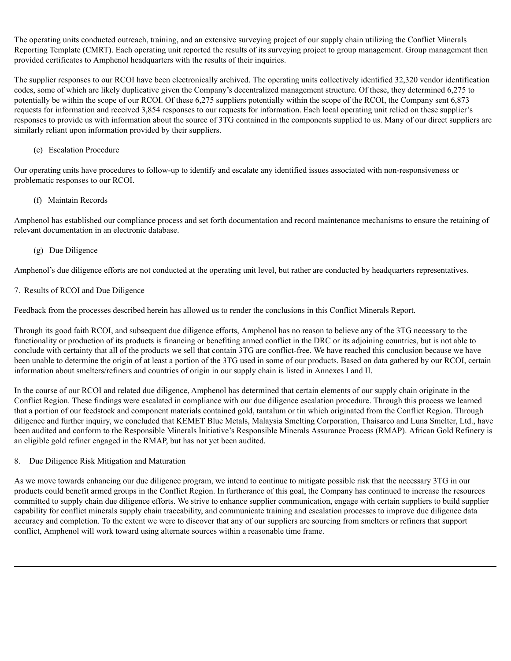The operating units conducted outreach, training, and an extensive surveying project of our supply chain utilizing the Conflict Minerals Reporting Template (CMRT). Each operating unit reported the results of its surveying project to group management. Group management then provided certificates to Amphenol headquarters with the results of their inquiries.

The supplier responses to our RCOI have been electronically archived. The operating units collectively identified 32,320 vendor identification codes, some of which are likely duplicative given the Company's decentralized management structure. Of these, they determined 6,275 to potentially be within the scope of our RCOI. Of these 6,275 suppliers potentially within the scope of the RCOI, the Company sent 6,873 requests for information and received 3,854 responses to our requests for information. Each local operating unit relied on these supplier's responses to provide us with information about the source of 3TG contained in the components supplied to us. Many of our direct suppliers are similarly reliant upon information provided by their suppliers.

# (e) Escalation Procedure

Our operating units have procedures to follow-up to identify and escalate any identified issues associated with non-responsiveness or problematic responses to our RCOI.

# (f) Maintain Records

Amphenol has established our compliance process and set forth documentation and record maintenance mechanisms to ensure the retaining of relevant documentation in an electronic database.

# (g) Due Diligence

Amphenol's due diligence efforts are not conducted at the operating unit level, but rather are conducted by headquarters representatives.

# 7. Results of RCOI and Due Diligence

Feedback from the processes described herein has allowed us to render the conclusions in this Conflict Minerals Report.

Through its good faith RCOI, and subsequent due diligence efforts, Amphenol has no reason to believe any of the 3TG necessary to the functionality or production of its products is financing or benefiting armed conflict in the DRC or its adjoining countries, but is not able to conclude with certainty that all of the products we sell that contain 3TG are conflict-free. We have reached this conclusion because we have been unable to determine the origin of at least a portion of the 3TG used in some of our products. Based on data gathered by our RCOI, certain information about smelters/refiners and countries of origin in our supply chain is listed in Annexes I and II.

In the course of our RCOI and related due diligence, Amphenol has determined that certain elements of our supply chain originate in the Conflict Region. These findings were escalated in compliance with our due diligence escalation procedure. Through this process we learned that a portion of our feedstock and component materials contained gold, tantalum or tin which originated from the Conflict Region. Through diligence and further inquiry, we concluded that KEMET Blue Metals, Malaysia Smelting Corporation, Thaisarco and Luna Smelter, Ltd., have been audited and conform to the Responsible Minerals Initiative's Responsible Minerals Assurance Process (RMAP). African Gold Refinery is an eligible gold refiner engaged in the RMAP, but has not yet been audited.

## 8. Due Diligence Risk Mitigation and Maturation

As we move towards enhancing our due diligence program, we intend to continue to mitigate possible risk that the necessary 3TG in our products could benefit armed groups in the Conflict Region. In furtherance of this goal, the Company has continued to increase the resources committed to supply chain due diligence efforts. We strive to enhance supplier communication, engage with certain suppliers to build supplier capability for conflict minerals supply chain traceability, and communicate training and escalation processes to improve due diligence data accuracy and completion. To the extent we were to discover that any of our suppliers are sourcing from smelters or refiners that support conflict, Amphenol will work toward using alternate sources within a reasonable time frame.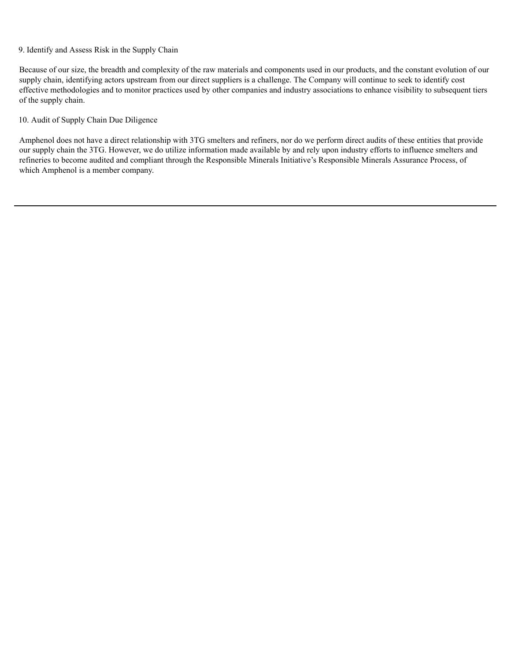## 9. Identify and Assess Risk in the Supply Chain

Because of our size, the breadth and complexity of the raw materials and components used in our products, and the constant evolution of our supply chain, identifying actors upstream from our direct suppliers is a challenge. The Company will continue to seek to identify cost effective methodologies and to monitor practices used by other companies and industry associations to enhance visibility to subsequent tiers of the supply chain.

# 10. Audit of Supply Chain Due Diligence

Amphenol does not have a direct relationship with 3TG smelters and refiners, nor do we perform direct audits of these entities that provide our supply chain the 3TG. However, we do utilize information made available by and rely upon industry efforts to influence smelters and refineries to become audited and compliant through the Responsible Minerals Initiative's Responsible Minerals Assurance Process, of which Amphenol is a member company.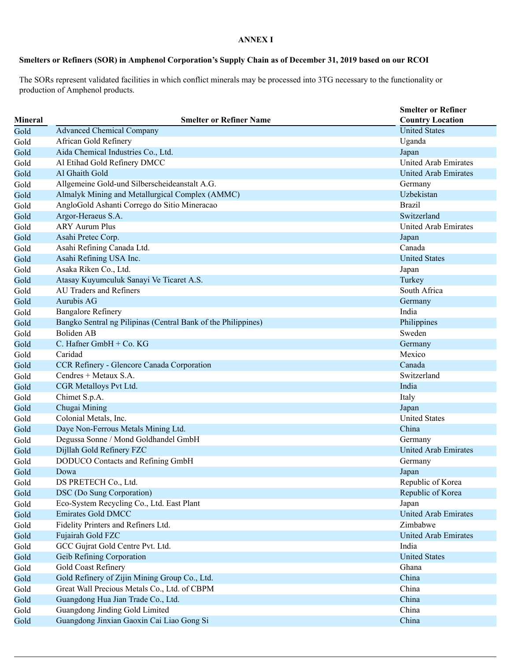### **ANNEX I**

# Smelters or Refiners (SOR) in Amphenol Corporation's Supply Chain as of December 31, 2019 based on our RCOI

The SORs represent validated facilities in which conflict minerals may be processed into 3TG necessary to the functionality or production of Amphenol products.

| <b>Mineral</b> | <b>Smelter or Refiner Name</b>                                | <b>Smelter or Refiner</b><br><b>Country Location</b> |
|----------------|---------------------------------------------------------------|------------------------------------------------------|
| Gold           | <b>Advanced Chemical Company</b>                              | <b>United States</b>                                 |
| Gold           | African Gold Refinery                                         | Uganda                                               |
|                | Aida Chemical Industries Co., Ltd.                            | Japan                                                |
| Gold           | Al Etihad Gold Refinery DMCC                                  | <b>United Arab Emirates</b>                          |
| Gold           | Al Ghaith Gold                                                |                                                      |
| Gold           |                                                               | United Arab Emirates                                 |
| Gold           | Allgemeine Gold-und Silberscheideanstalt A.G.                 | Germany                                              |
| Gold           | Almalyk Mining and Metallurgical Complex (AMMC)               | Uzbekistan                                           |
| Gold           | AngloGold Ashanti Corrego do Sitio Mineracao                  | <b>Brazil</b>                                        |
| Gold           | Argor-Heraeus S.A.                                            | Switzerland                                          |
| Gold           | <b>ARY Aurum Plus</b>                                         | United Arab Emirates                                 |
| Gold           | Asahi Pretec Corp.                                            | Japan                                                |
| Gold           | Asahi Refining Canada Ltd.                                    | Canada                                               |
| Gold           | Asahi Refining USA Inc.                                       | <b>United States</b>                                 |
| Gold           | Asaka Riken Co., Ltd.                                         | Japan                                                |
| Gold           | Atasay Kuyumculuk Sanayi Ve Ticaret A.S.                      | Turkey                                               |
| Gold           | AU Traders and Refiners                                       | South Africa                                         |
| Gold           | Aurubis AG                                                    | Germany                                              |
| Gold           | <b>Bangalore Refinery</b>                                     | India                                                |
| Gold           | Bangko Sentral ng Pilipinas (Central Bank of the Philippines) | Philippines                                          |
| Gold           | <b>Boliden AB</b>                                             | Sweden                                               |
| Gold           | C. Hafner GmbH + Co. KG                                       | Germany                                              |
| Gold           | Caridad                                                       | Mexico                                               |
| Gold           | CCR Refinery - Glencore Canada Corporation                    | Canada                                               |
| Gold           | Cendres + Metaux S.A.                                         | Switzerland                                          |
| Gold           | CGR Metalloys Pvt Ltd.                                        | India                                                |
| Gold           | Chimet S.p.A.                                                 | Italy                                                |
| Gold           | Chugai Mining                                                 | Japan                                                |
| Gold           | Colonial Metals, Inc.                                         | <b>United States</b>                                 |
| Gold           | Daye Non-Ferrous Metals Mining Ltd.                           | China                                                |
| Gold           | Degussa Sonne / Mond Goldhandel GmbH                          | Germany                                              |
| Gold           | Dijllah Gold Refinery FZC                                     | <b>United Arab Emirates</b>                          |
| Gold           | DODUCO Contacts and Refining GmbH                             | Germany                                              |
| Gold           | Dowa                                                          | Japan                                                |
| Gold           | DS PRETECH Co., Ltd.                                          | Republic of Korea                                    |
| Gold           | DSC (Do Sung Corporation)                                     | Republic of Korea                                    |
| Gold           | Eco-System Recycling Co., Ltd. East Plant                     | Japan                                                |
| Gold           | <b>Emirates Gold DMCC</b>                                     | <b>United Arab Emirates</b>                          |
| Gold           | Fidelity Printers and Refiners Ltd.                           | Zimbabwe                                             |
| Gold           | Fujairah Gold FZC                                             | <b>United Arab Emirates</b>                          |
| Gold           | GCC Gujrat Gold Centre Pvt. Ltd.                              | India                                                |
| Gold           | Geib Refining Corporation                                     | <b>United States</b>                                 |
| Gold           | Gold Coast Refinery                                           | Ghana                                                |
| Gold           | Gold Refinery of Zijin Mining Group Co., Ltd.                 | China                                                |
| Gold           | Great Wall Precious Metals Co., Ltd. of CBPM                  | China                                                |
| Gold           | Guangdong Hua Jian Trade Co., Ltd.                            | China                                                |
| Gold           | Guangdong Jinding Gold Limited                                | China                                                |
| Gold           | Guangdong Jinxian Gaoxin Cai Liao Gong Si                     | China                                                |
|                |                                                               |                                                      |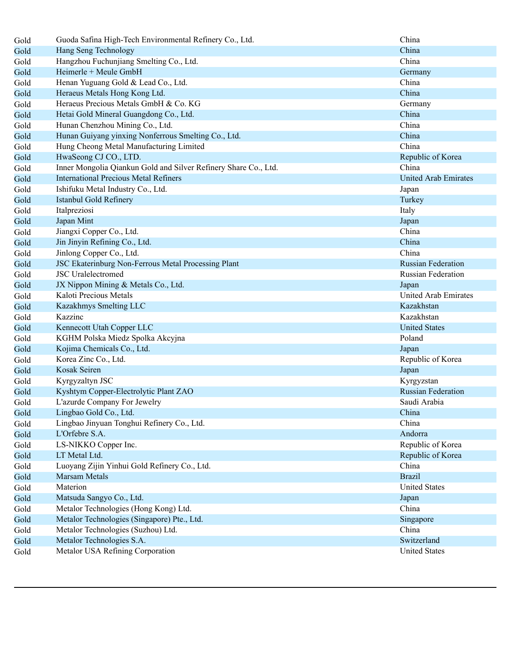| Gold | Guoda Safina High-Tech Environmental Refinery Co., Ltd.         | China                     |
|------|-----------------------------------------------------------------|---------------------------|
| Gold | Hang Seng Technology                                            | China                     |
| Gold | Hangzhou Fuchunjiang Smelting Co., Ltd.                         | China                     |
| Gold | Heimerle + Meule GmbH                                           | Germany                   |
| Gold | Henan Yuguang Gold & Lead Co., Ltd.                             | China                     |
| Gold | Heraeus Metals Hong Kong Ltd.                                   | China                     |
| Gold | Heraeus Precious Metals GmbH & Co. KG                           | Germany                   |
| Gold | Hetai Gold Mineral Guangdong Co., Ltd.                          | China                     |
| Gold | Hunan Chenzhou Mining Co., Ltd.                                 | China                     |
| Gold | Hunan Guiyang yinxing Nonferrous Smelting Co., Ltd.             | China                     |
| Gold | Hung Cheong Metal Manufacturing Limited                         | China                     |
| Gold | HwaSeong CJ CO., LTD.                                           | Republic of Korea         |
| Gold | Inner Mongolia Qiankun Gold and Silver Refinery Share Co., Ltd. | China                     |
| Gold | <b>International Precious Metal Refiners</b>                    | United Arab Emirates      |
| Gold | Ishifuku Metal Industry Co., Ltd.                               | Japan                     |
| Gold | Istanbul Gold Refinery                                          | Turkey                    |
| Gold | Italpreziosi                                                    | Italy                     |
| Gold | Japan Mint                                                      | Japan                     |
| Gold | Jiangxi Copper Co., Ltd.                                        | China                     |
| Gold | Jin Jinyin Refining Co., Ltd.                                   | China                     |
| Gold | Jinlong Copper Co., Ltd.                                        | China                     |
| Gold | JSC Ekaterinburg Non-Ferrous Metal Processing Plant             | <b>Russian Federation</b> |
| Gold | <b>JSC</b> Uralelectromed                                       | Russian Federation        |
| Gold | JX Nippon Mining & Metals Co., Ltd.                             | Japan                     |
| Gold | Kaloti Precious Metals                                          | United Arab Emirates      |
| Gold | Kazakhmys Smelting LLC                                          | Kazakhstan                |
| Gold | Kazzinc                                                         | Kazakhstan                |
| Gold | Kennecott Utah Copper LLC                                       | <b>United States</b>      |
| Gold | KGHM Polska Miedz Spolka Akcyjna                                | Poland                    |
| Gold | Kojima Chemicals Co., Ltd.                                      | Japan                     |
| Gold | Korea Zinc Co., Ltd.                                            | Republic of Korea         |
| Gold | Kosak Seiren                                                    | Japan                     |
| Gold | Kyrgyzaltyn JSC                                                 | Kyrgyzstan                |
| Gold | Kyshtym Copper-Electrolytic Plant ZAO                           | <b>Russian Federation</b> |
| Gold | L'azurde Company For Jewelry                                    | Saudi Arabia              |
| Gold | Lingbao Gold Co., Ltd.                                          | China                     |
| Gold | Lingbao Jinyuan Tonghui Refinery Co., Ltd.                      | China                     |
| Gold | L'Orfebre S.A.                                                  | Andorra                   |
| Gold | LS-NIKKO Copper Inc.                                            | Republic of Korea         |
| Gold | LT Metal Ltd.                                                   | Republic of Korea         |
| Gold | Luoyang Zijin Yinhui Gold Refinery Co., Ltd.                    | China                     |
| Gold | <b>Marsam Metals</b>                                            | <b>Brazil</b>             |
| Gold | Materion                                                        | <b>United States</b>      |
| Gold | Matsuda Sangyo Co., Ltd.                                        | Japan                     |
| Gold | Metalor Technologies (Hong Kong) Ltd.                           | China                     |
| Gold | Metalor Technologies (Singapore) Pte., Ltd.                     | Singapore                 |
| Gold | Metalor Technologies (Suzhou) Ltd.                              | China                     |
| Gold | Metalor Technologies S.A.                                       | Switzerland               |
| Gold | Metalor USA Refining Corporation                                | <b>United States</b>      |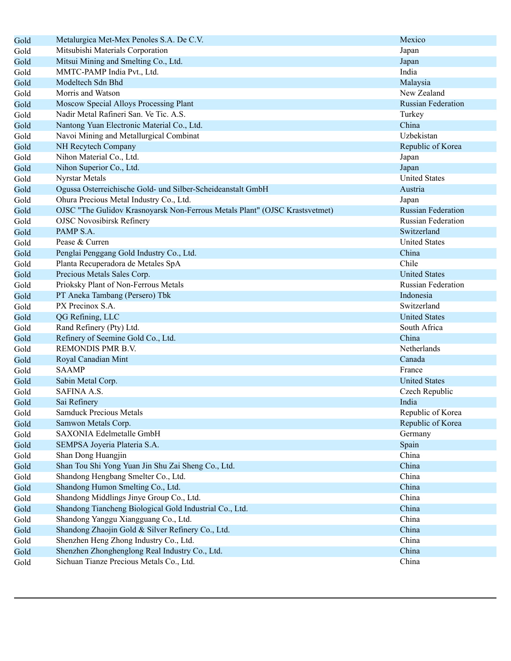| Gold | Metalurgica Met-Mex Penoles S.A. De C.V.                                    | Mexico                    |
|------|-----------------------------------------------------------------------------|---------------------------|
| Gold | Mitsubishi Materials Corporation                                            | Japan                     |
| Gold | Mitsui Mining and Smelting Co., Ltd.                                        | Japan                     |
| Gold | MMTC-PAMP India Pvt., Ltd.                                                  | India                     |
| Gold | Modeltech Sdn Bhd                                                           | Malaysia                  |
| Gold | Morris and Watson                                                           | New Zealand               |
| Gold | Moscow Special Alloys Processing Plant                                      | <b>Russian Federation</b> |
| Gold | Nadir Metal Rafineri San. Ve Tic. A.S.                                      | Turkey                    |
| Gold | Nantong Yuan Electronic Material Co., Ltd.                                  | China                     |
| Gold | Navoi Mining and Metallurgical Combinat                                     | Uzbekistan                |
| Gold | NH Recytech Company                                                         | Republic of Korea         |
| Gold | Nihon Material Co., Ltd.                                                    | Japan                     |
| Gold | Nihon Superior Co., Ltd.                                                    | Japan                     |
| Gold | Nyrstar Metals                                                              | <b>United States</b>      |
| Gold | Ogussa Osterreichische Gold- und Silber-Scheideanstalt GmbH                 | Austria                   |
| Gold | Ohura Precious Metal Industry Co., Ltd.                                     | Japan                     |
| Gold | OJSC "The Gulidov Krasnoyarsk Non-Ferrous Metals Plant" (OJSC Krastsvetmet) | <b>Russian Federation</b> |
| Gold | <b>OJSC Novosibirsk Refinery</b>                                            | <b>Russian Federation</b> |
| Gold | PAMP S.A.                                                                   | Switzerland               |
| Gold | Pease & Curren                                                              | <b>United States</b>      |
| Gold | Penglai Penggang Gold Industry Co., Ltd.                                    | China                     |
| Gold | Planta Recuperadora de Metales SpA                                          | Chile                     |
| Gold | Precious Metals Sales Corp.                                                 | <b>United States</b>      |
| Gold | Prioksky Plant of Non-Ferrous Metals                                        | <b>Russian Federation</b> |
| Gold | PT Aneka Tambang (Persero) Tbk                                              | Indonesia                 |
| Gold | PX Precinox S.A.                                                            | Switzerland               |
| Gold | QG Refining, LLC                                                            | <b>United States</b>      |
| Gold | Rand Refinery (Pty) Ltd.                                                    | South Africa              |
| Gold | Refinery of Seemine Gold Co., Ltd.                                          | China                     |
| Gold | REMONDIS PMR B.V.                                                           | Netherlands               |
| Gold | Royal Canadian Mint                                                         | Canada                    |
| Gold | <b>SAAMP</b>                                                                | France                    |
| Gold | Sabin Metal Corp.                                                           | <b>United States</b>      |
| Gold | SAFINA A.S.                                                                 | Czech Republic            |
| Gold | Sai Refinery                                                                | India                     |
| Gold | <b>Samduck Precious Metals</b>                                              | Republic of Korea         |
| Gold | Samwon Metals Corp.                                                         | Republic of Korea         |
| Gold | SAXONIA Edelmetalle GmbH                                                    | Germany                   |
| Gold | SEMPSA Joyeria Plateria S.A.                                                | Spain                     |
| Gold | Shan Dong Huangjin                                                          | China                     |
| Gold | Shan Tou Shi Yong Yuan Jin Shu Zai Sheng Co., Ltd.                          | China                     |
| Gold | Shandong Hengbang Smelter Co., Ltd.                                         | China                     |
| Gold | Shandong Humon Smelting Co., Ltd.                                           | China                     |
| Gold | Shandong Middlings Jinye Group Co., Ltd.                                    | China                     |
| Gold | Shandong Tiancheng Biological Gold Industrial Co., Ltd.                     | China                     |
| Gold | Shandong Yanggu Xiangguang Co., Ltd.                                        | China                     |
| Gold | Shandong Zhaojin Gold & Silver Refinery Co., Ltd.                           | China                     |
| Gold | Shenzhen Heng Zhong Industry Co., Ltd.                                      | China                     |
| Gold | Shenzhen Zhonghenglong Real Industry Co., Ltd.                              | China                     |
| Gold | Sichuan Tianze Precious Metals Co., Ltd.                                    | China                     |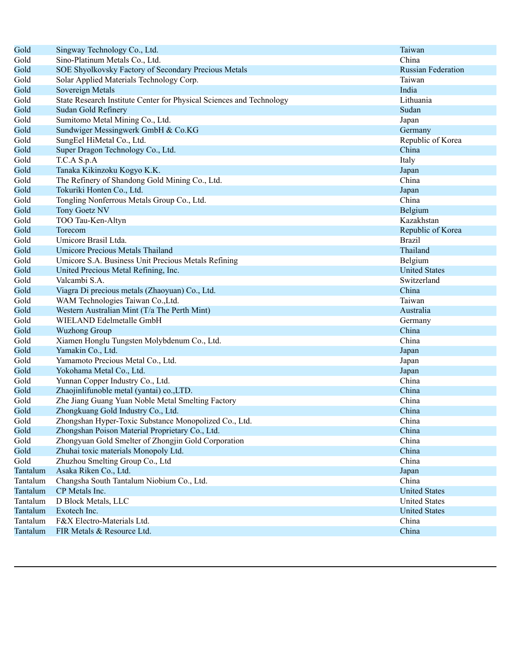| Gold     | Singway Technology Co., Ltd.                                         | Taiwan                    |
|----------|----------------------------------------------------------------------|---------------------------|
| Gold     | Sino-Platinum Metals Co., Ltd.                                       | China                     |
| Gold     | SOE Shyolkovsky Factory of Secondary Precious Metals                 | <b>Russian Federation</b> |
| Gold     | Solar Applied Materials Technology Corp.                             | Taiwan                    |
| Gold     | Sovereign Metals                                                     | India                     |
| Gold     | State Research Institute Center for Physical Sciences and Technology | Lithuania                 |
| Gold     | Sudan Gold Refinery                                                  | Sudan                     |
| Gold     | Sumitomo Metal Mining Co., Ltd.                                      | Japan                     |
| Gold     | Sundwiger Messingwerk GmbH & Co.KG                                   | Germany                   |
| Gold     | SungEel HiMetal Co., Ltd.                                            | Republic of Korea         |
| Gold     | Super Dragon Technology Co., Ltd.                                    | China                     |
| Gold     | T.C.A S.p.A                                                          | Italy                     |
| Gold     | Tanaka Kikinzoku Kogyo K.K.                                          | Japan                     |
| Gold     | The Refinery of Shandong Gold Mining Co., Ltd.                       | China                     |
| Gold     | Tokuriki Honten Co., Ltd.                                            | Japan                     |
| Gold     | Tongling Nonferrous Metals Group Co., Ltd.                           | China                     |
| Gold     | Tony Goetz NV                                                        | Belgium                   |
| Gold     | TOO Tau-Ken-Altyn                                                    | Kazakhstan                |
| Gold     | Torecom                                                              | Republic of Korea         |
| Gold     | Umicore Brasil Ltda.                                                 | <b>Brazil</b>             |
| Gold     | Umicore Precious Metals Thailand                                     | Thailand                  |
| Gold     | Umicore S.A. Business Unit Precious Metals Refining                  | Belgium                   |
| Gold     | United Precious Metal Refining, Inc.                                 | <b>United States</b>      |
| Gold     | Valcambi S.A.                                                        | Switzerland               |
| Gold     | Viagra Di precious metals (Zhaoyuan) Co., Ltd.                       | China                     |
| Gold     | WAM Technologies Taiwan Co., Ltd.                                    | Taiwan                    |
| Gold     | Western Australian Mint (T/a The Perth Mint)                         | Australia                 |
| Gold     | WIELAND Edelmetalle GmbH                                             | Germany                   |
| Gold     | <b>Wuzhong Group</b>                                                 | China                     |
| Gold     | Xiamen Honglu Tungsten Molybdenum Co., Ltd.                          | China                     |
| Gold     | Yamakin Co., Ltd.                                                    | Japan                     |
| Gold     | Yamamoto Precious Metal Co., Ltd.                                    | Japan                     |
| Gold     | Yokohama Metal Co., Ltd.                                             | Japan                     |
| Gold     | Yunnan Copper Industry Co., Ltd.                                     | China                     |
| Gold     | Zhaojinlifunoble metal (yantai) co., LTD.                            | China                     |
| Gold     | Zhe Jiang Guang Yuan Noble Metal Smelting Factory                    | China                     |
| Gold     | Zhongkuang Gold Industry Co., Ltd.                                   | China                     |
| Gold     | Zhongshan Hyper-Toxic Substance Monopolized Co., Ltd.                | China                     |
| Gold     | Zhongshan Poison Material Proprietary Co., Ltd.                      | China                     |
| Gold     | Zhongyuan Gold Smelter of Zhongjin Gold Corporation                  | China                     |
| Gold     | Zhuhai toxic materials Monopoly Ltd.                                 | China                     |
| Gold     | Zhuzhou Smelting Group Co., Ltd                                      | China                     |
| Tantalum | Asaka Riken Co., Ltd.                                                | Japan                     |
| Tantalum | Changsha South Tantalum Niobium Co., Ltd.                            | China                     |
| Tantalum | CP Metals Inc.                                                       | <b>United States</b>      |
| Tantalum | D Block Metals, LLC                                                  | <b>United States</b>      |
| Tantalum | Exotech Inc.                                                         | <b>United States</b>      |
| Tantalum | F&X Electro-Materials Ltd.                                           | China                     |
| Tantalum | FIR Metals & Resource Ltd.                                           | China                     |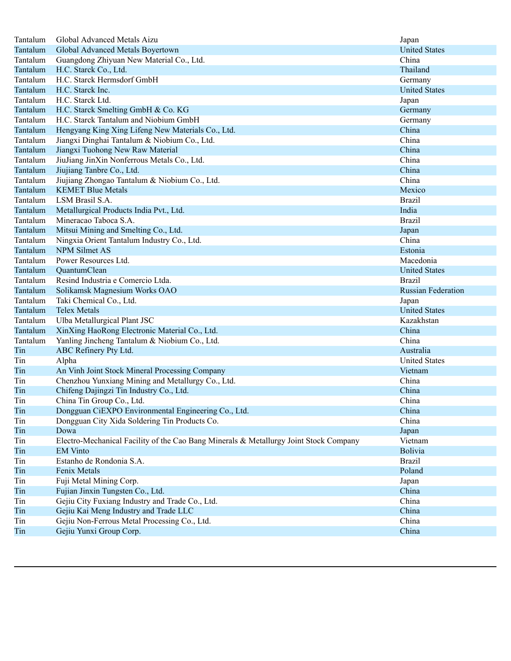| Tantalum | Global Advanced Metals Aizu                                                           | Japan                     |
|----------|---------------------------------------------------------------------------------------|---------------------------|
| Tantalum | Global Advanced Metals Boyertown                                                      | <b>United States</b>      |
| Tantalum | Guangdong Zhiyuan New Material Co., Ltd.                                              | China                     |
| Tantalum | H.C. Starck Co., Ltd.                                                                 | Thailand                  |
| Tantalum | H.C. Starck Hermsdorf GmbH                                                            | Germany                   |
| Tantalum | H.C. Starck Inc.                                                                      | <b>United States</b>      |
| Tantalum | H.C. Starck Ltd.                                                                      | Japan                     |
| Tantalum | H.C. Starck Smelting GmbH & Co. KG                                                    | Germany                   |
| Tantalum | H.C. Starck Tantalum and Niobium GmbH                                                 | Germany                   |
| Tantalum | Hengyang King Xing Lifeng New Materials Co., Ltd.                                     | China                     |
| Tantalum | Jiangxi Dinghai Tantalum & Niobium Co., Ltd.                                          | China                     |
| Tantalum | Jiangxi Tuohong New Raw Material                                                      | China                     |
| Tantalum | JiuJiang JinXin Nonferrous Metals Co., Ltd.                                           | China                     |
| Tantalum | Jiujiang Tanbre Co., Ltd.                                                             | China                     |
| Tantalum | Jiujiang Zhongao Tantalum & Niobium Co., Ltd.                                         | China                     |
| Tantalum | <b>KEMET Blue Metals</b>                                                              | Mexico                    |
| Tantalum | LSM Brasil S.A.                                                                       | <b>Brazil</b>             |
| Tantalum | Metallurgical Products India Pvt., Ltd.                                               | India                     |
| Tantalum | Mineracao Taboca S.A.                                                                 | <b>Brazil</b>             |
| Tantalum | Mitsui Mining and Smelting Co., Ltd.                                                  | Japan                     |
| Tantalum | Ningxia Orient Tantalum Industry Co., Ltd.                                            | China                     |
| Tantalum | <b>NPM Silmet AS</b>                                                                  | Estonia                   |
| Tantalum | Power Resources Ltd.                                                                  | Macedonia                 |
| Tantalum | QuantumClean                                                                          | <b>United States</b>      |
| Tantalum | Resind Industria e Comercio Ltda.                                                     | <b>Brazil</b>             |
|          | Solikamsk Magnesium Works OAO                                                         |                           |
| Tantalum |                                                                                       | <b>Russian Federation</b> |
| Tantalum | Taki Chemical Co., Ltd.                                                               | Japan                     |
| Tantalum | <b>Telex Metals</b>                                                                   | <b>United States</b>      |
| Tantalum | Ulba Metallurgical Plant JSC                                                          | Kazakhstan                |
| Tantalum | XinXing HaoRong Electronic Material Co., Ltd.                                         | China                     |
| Tantalum | Yanling Jincheng Tantalum & Niobium Co., Ltd.                                         | China                     |
| Tin      | ABC Refinery Pty Ltd.                                                                 | Australia                 |
| Tin      | Alpha                                                                                 | <b>United States</b>      |
| Tin      | An Vinh Joint Stock Mineral Processing Company                                        | Vietnam                   |
| Tin      | Chenzhou Yunxiang Mining and Metallurgy Co., Ltd.                                     | China                     |
| Tin      | Chifeng Dajingzi Tin Industry Co., Ltd.                                               | China                     |
| Tin      | China Tin Group Co., Ltd.                                                             | China                     |
| Tin      | Dongguan CiEXPO Environmental Engineering Co., Ltd.                                   | China                     |
| Tin      | Dongguan City Xida Soldering Tin Products Co.                                         | China                     |
| Tin      | Dowa                                                                                  | Japan                     |
| Tin      | Electro-Mechanical Facility of the Cao Bang Minerals & Metallurgy Joint Stock Company | Vietnam                   |
| Tin      | <b>EM Vinto</b>                                                                       | <b>Bolivia</b>            |
| Tin      | Estanho de Rondonia S.A.                                                              | <b>Brazil</b>             |
| Tin      | Fenix Metals                                                                          | Poland                    |
| Tin      | Fuji Metal Mining Corp.                                                               | Japan                     |
| Tin      | Fujian Jinxin Tungsten Co., Ltd.                                                      | China                     |
| Tin      | Gejiu City Fuxiang Industry and Trade Co., Ltd.                                       | China                     |
| Tin      | Gejiu Kai Meng Industry and Trade LLC                                                 | China                     |
| Tin      | Gejiu Non-Ferrous Metal Processing Co., Ltd.                                          | China                     |
| Tin      | Gejiu Yunxi Group Corp.                                                               | China                     |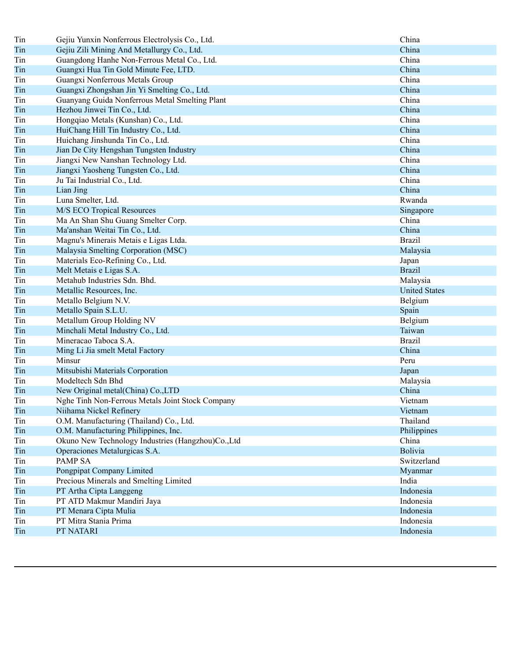| Tin | Gejiu Yunxin Nonferrous Electrolysis Co., Ltd.    | China                |
|-----|---------------------------------------------------|----------------------|
| Tin | Gejiu Zili Mining And Metallurgy Co., Ltd.        | China                |
| Tin | Guangdong Hanhe Non-Ferrous Metal Co., Ltd.       | China                |
| Tin | Guangxi Hua Tin Gold Minute Fee, LTD.             | China                |
| Tin | Guangxi Nonferrous Metals Group                   | China                |
| Tin | Guangxi Zhongshan Jin Yi Smelting Co., Ltd.       | China                |
| Tin | Guanyang Guida Nonferrous Metal Smelting Plant    | China                |
| Tin | Hezhou Jinwei Tin Co., Ltd.                       | China                |
| Tin | Hongqiao Metals (Kunshan) Co., Ltd.               | China                |
| Tin | HuiChang Hill Tin Industry Co., Ltd.              | China                |
| Tin | Huichang Jinshunda Tin Co., Ltd.                  | China                |
| Tin | Jian De City Hengshan Tungsten Industry           | China                |
| Tin | Jiangxi New Nanshan Technology Ltd.               | China                |
| Tin | Jiangxi Yaosheng Tungsten Co., Ltd.               | China                |
| Tin | Ju Tai Industrial Co., Ltd.                       | China                |
| Tin | Lian Jing                                         | China                |
| Tin | Luna Smelter, Ltd.                                | Rwanda               |
| Tin | M/S ECO Tropical Resources                        | Singapore            |
| Tin | Ma An Shan Shu Guang Smelter Corp.                | China                |
| Tin | Ma'anshan Weitai Tin Co., Ltd.                    | China                |
| Tin | Magnu's Minerais Metais e Ligas Ltda.             | <b>Brazil</b>        |
| Tin | Malaysia Smelting Corporation (MSC)               | Malaysia             |
| Tin | Materials Eco-Refining Co., Ltd.                  | Japan                |
| Tin | Melt Metais e Ligas S.A.                          | <b>Brazil</b>        |
| Tin | Metahub Industries Sdn. Bhd.                      | Malaysia             |
| Tin | Metallic Resources, Inc.                          | <b>United States</b> |
| Tin | Metallo Belgium N.V.                              | Belgium              |
| Tin | Metallo Spain S.L.U.                              | Spain                |
| Tin | Metallum Group Holding NV                         | Belgium              |
| Tin | Minchali Metal Industry Co., Ltd.                 | Taiwan               |
| Tin | Mineracao Taboca S.A.                             | <b>Brazil</b>        |
| Tin | Ming Li Jia smelt Metal Factory                   | China                |
| Tin | Minsur                                            | Peru                 |
| Tin | Mitsubishi Materials Corporation                  | Japan                |
| Tin | Modeltech Sdn Bhd                                 | Malaysia             |
| Tin | New Original metal(China) Co., LTD                | China                |
| Tin | Nghe Tinh Non-Ferrous Metals Joint Stock Company  | Vietnam              |
| Tin | Niihama Nickel Refinery                           | Vietnam              |
| Tin | O.M. Manufacturing (Thailand) Co., Ltd.           | Thailand             |
| Tin | O.M. Manufacturing Philippines, Inc.              | Philippines          |
| Tin | Okuno New Technology Industries (Hangzhou)Co.,Ltd | China                |
| Tin | Operaciones Metalurgicas S.A.                     | Bolivia              |
| Tin | PAMP SA                                           | Switzerland          |
| Tin | Pongpipat Company Limited                         | Myanmar              |
| Tin | Precious Minerals and Smelting Limited            | India                |
| Tin | PT Artha Cipta Langgeng                           | Indonesia            |
| Tin | PT ATD Makmur Mandiri Jaya                        | Indonesia            |
| Tin | PT Menara Cipta Mulia                             | Indonesia            |
| Tin | PT Mitra Stania Prima                             | Indonesia            |
| Tin | PT NATARI                                         | Indonesia            |
|     |                                                   |                      |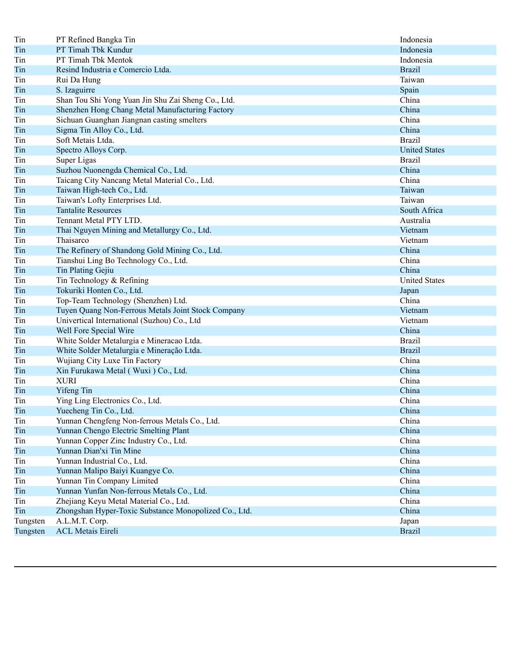| Tin      | PT Refined Bangka Tin                                 | Indonesia            |
|----------|-------------------------------------------------------|----------------------|
| Tin      | PT Timah Tbk Kundur                                   | Indonesia            |
| Tin      | PT Timah Tbk Mentok                                   | Indonesia            |
| Tin      | Resind Industria e Comercio Ltda.                     | <b>Brazil</b>        |
| Tin      | Rui Da Hung                                           | Taiwan               |
| Tin      | S. Izaguirre                                          | Spain                |
| Tin      | Shan Tou Shi Yong Yuan Jin Shu Zai Sheng Co., Ltd.    | China                |
| Tin      | Shenzhen Hong Chang Metal Manufacturing Factory       | China                |
| Tin      | Sichuan Guanghan Jiangnan casting smelters            | China                |
| Tin      | Sigma Tin Alloy Co., Ltd.                             | China                |
| Tin      | Soft Metais Ltda.                                     | <b>Brazil</b>        |
| Tin      | Spectro Alloys Corp.                                  | <b>United States</b> |
| Tin      | Super Ligas                                           | <b>Brazil</b>        |
| Tin      | Suzhou Nuonengda Chemical Co., Ltd.                   | China                |
| Tin      | Taicang City Nancang Metal Material Co., Ltd.         | China                |
| Tin      | Taiwan High-tech Co., Ltd.                            | Taiwan               |
| Tin      | Taiwan's Lofty Enterprises Ltd.                       | Taiwan               |
| Tin      | <b>Tantalite Resources</b>                            | South Africa         |
| Tin      | Tennant Metal PTY LTD.                                | Australia            |
| Tin      | Thai Nguyen Mining and Metallurgy Co., Ltd.           | Vietnam              |
| Tin      | Thaisarco                                             | Vietnam              |
| Tin      | The Refinery of Shandong Gold Mining Co., Ltd.        | China                |
| Tin      | Tianshui Ling Bo Technology Co., Ltd.                 | China                |
| Tin      | Tin Plating Gejiu                                     | China                |
| Tin      | Tin Technology & Refining                             | <b>United States</b> |
| Tin      | Tokuriki Honten Co., Ltd.                             | Japan                |
| Tin      | Top-Team Technology (Shenzhen) Ltd.                   | China                |
| Tin      | Tuyen Quang Non-Ferrous Metals Joint Stock Company    | Vietnam              |
| Tin      | Univertical International (Suzhou) Co., Ltd           | Vietnam              |
| Tin      | Well Fore Special Wire                                | China                |
| Tin      | White Solder Metalurgia e Mineracao Ltda.             | <b>Brazil</b>        |
| Tin      | White Solder Metalurgia e Mineração Ltda.             | <b>Brazil</b>        |
| Tin      | Wujiang City Luxe Tin Factory                         | China                |
| Tin      | Xin Furukawa Metal (Wuxi) Co., Ltd.                   | China                |
| Tin      | <b>XURI</b>                                           | China                |
| Tin      | Yifeng Tin                                            | China                |
| Tin      | Ying Ling Electronics Co., Ltd.                       | China                |
| Tin      | Yuecheng Tin Co., Ltd.                                | China                |
| Tin      | Yunnan Chengfeng Non-ferrous Metals Co., Ltd.         | China                |
| Tin      | Yunnan Chengo Electric Smelting Plant                 | China                |
| Tin      | Yunnan Copper Zinc Industry Co., Ltd.                 | China                |
| Tin      | Yunnan Dian'xi Tin Mine                               | China                |
| Tin      | Yunnan Industrial Co., Ltd.                           | China                |
| Tin      | Yunnan Malipo Baiyi Kuangye Co.                       | China                |
| Tin      | Yunnan Tin Company Limited                            | China                |
| Tin      | Yunnan Yunfan Non-ferrous Metals Co., Ltd.            | China                |
| Tin      | Zhejiang Keyu Metal Material Co., Ltd.                | China                |
| Tin      | Zhongshan Hyper-Toxic Substance Monopolized Co., Ltd. | China                |
| Tungsten | A.L.M.T. Corp.                                        | Japan                |
| Tungsten | <b>ACL Metais Eireli</b>                              | <b>Brazil</b>        |
|          |                                                       |                      |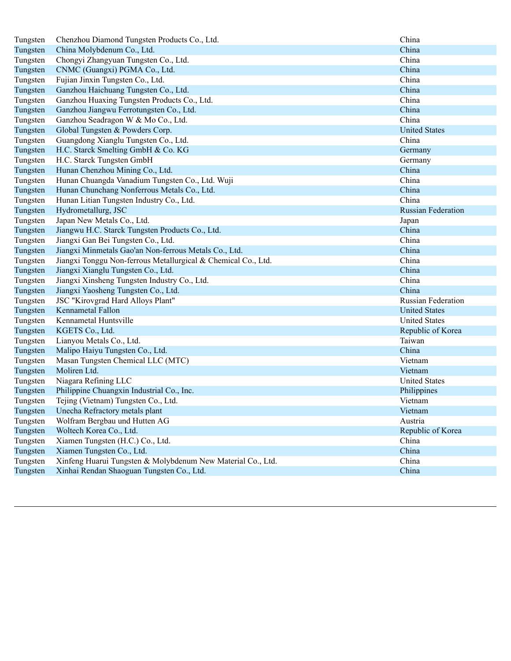| Tungsten | Chenzhou Diamond Tungsten Products Co., Ltd.                  | China                     |
|----------|---------------------------------------------------------------|---------------------------|
| Tungsten | China Molybdenum Co., Ltd.                                    | China                     |
| Tungsten | Chongyi Zhangyuan Tungsten Co., Ltd.                          | China                     |
| Tungsten | CNMC (Guangxi) PGMA Co., Ltd.                                 | China                     |
| Tungsten | Fujian Jinxin Tungsten Co., Ltd.                              | China                     |
| Tungsten | Ganzhou Haichuang Tungsten Co., Ltd.                          | China                     |
| Tungsten | Ganzhou Huaxing Tungsten Products Co., Ltd.                   | China                     |
| Tungsten | Ganzhou Jiangwu Ferrotungsten Co., Ltd.                       | China                     |
| Tungsten | Ganzhou Seadragon W & Mo Co., Ltd.                            | China                     |
| Tungsten | Global Tungsten & Powders Corp.                               | <b>United States</b>      |
| Tungsten | Guangdong Xianglu Tungsten Co., Ltd.                          | China                     |
| Tungsten | H.C. Starck Smelting GmbH & Co. KG                            | Germany                   |
| Tungsten | H.C. Starck Tungsten GmbH                                     | Germany                   |
| Tungsten | Hunan Chenzhou Mining Co., Ltd.                               | China                     |
| Tungsten | Hunan Chuangda Vanadium Tungsten Co., Ltd. Wuji               | China                     |
| Tungsten | Hunan Chunchang Nonferrous Metals Co., Ltd.                   | China                     |
| Tungsten | Hunan Litian Tungsten Industry Co., Ltd.                      | China                     |
| Tungsten | Hydrometallurg, JSC                                           | <b>Russian Federation</b> |
| Tungsten | Japan New Metals Co., Ltd.                                    | Japan                     |
| Tungsten | Jiangwu H.C. Starck Tungsten Products Co., Ltd.               | China                     |
| Tungsten | Jiangxi Gan Bei Tungsten Co., Ltd.                            | China                     |
| Tungsten | Jiangxi Minmetals Gao'an Non-ferrous Metals Co., Ltd.         | China                     |
| Tungsten | Jiangxi Tonggu Non-ferrous Metallurgical & Chemical Co., Ltd. | China                     |
| Tungsten | Jiangxi Xianglu Tungsten Co., Ltd.                            | China                     |
| Tungsten | Jiangxi Xinsheng Tungsten Industry Co., Ltd.                  | China                     |
| Tungsten | Jiangxi Yaosheng Tungsten Co., Ltd.                           | China                     |
| Tungsten | JSC "Kirovgrad Hard Alloys Plant"                             | <b>Russian Federation</b> |
| Tungsten | Kennametal Fallon                                             | <b>United States</b>      |
| Tungsten | Kennametal Huntsville                                         | <b>United States</b>      |
| Tungsten | KGETS Co., Ltd.                                               | Republic of Korea         |
| Tungsten | Lianyou Metals Co., Ltd.                                      | Taiwan                    |
| Tungsten | Malipo Haiyu Tungsten Co., Ltd.                               | China                     |
| Tungsten | Masan Tungsten Chemical LLC (MTC)                             | Vietnam                   |
| Tungsten | Moliren Ltd.                                                  | Vietnam                   |
| Tungsten | Niagara Refining LLC                                          | <b>United States</b>      |
| Tungsten | Philippine Chuangxin Industrial Co., Inc.                     | Philippines               |
| Tungsten | Tejing (Vietnam) Tungsten Co., Ltd.                           | Vietnam                   |
| Tungsten | Unecha Refractory metals plant                                | Vietnam                   |
| Tungsten | Wolfram Bergbau und Hutten AG                                 | Austria                   |
| Tungsten | Woltech Korea Co., Ltd.                                       | Republic of Korea         |
| Tungsten | Xiamen Tungsten (H.C.) Co., Ltd.                              | China                     |
| Tungsten | Xiamen Tungsten Co., Ltd.                                     | China                     |
| Tungsten | Xinfeng Huarui Tungsten & Molybdenum New Material Co., Ltd.   | China                     |
| Tungsten | Xinhai Rendan Shaoguan Tungsten Co., Ltd.                     | China                     |